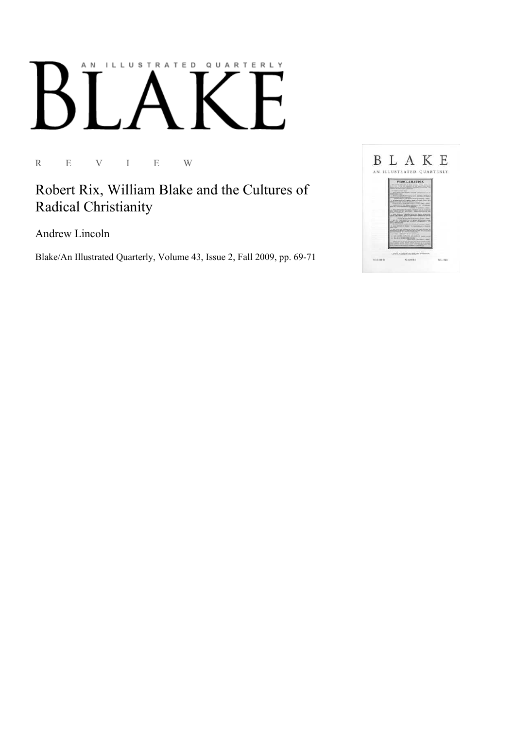## AN ILLUSTRATED QUARTERLY

R E V I E W

Robert Rix, William Blake and the Cultures of Radical Christianity

Andrew Lincoln

Blake/An Illustrated Quarterly, Volume 43, Issue 2, Fall 2009, pp. 69-71

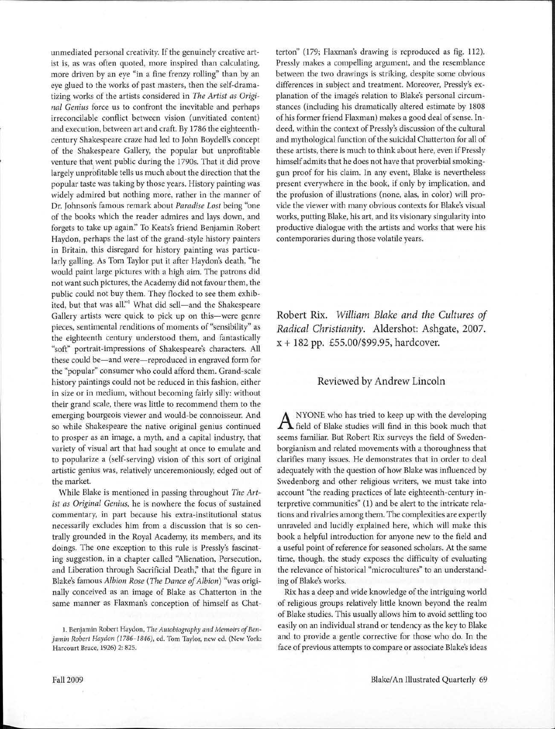unrnediated personal creativity. If the genuinely creative artist is, as was often quoted, more inspired than calculating, more driven by an eye "in a fine frenzy rolling" than by an eye glued to the works of past masters, then the self-dramatizing works of the artists considered in *The Artist as Original Genius* force us to confront the inevitable and perhaps irreconcilable conflict between vision (unvitiated content) and execution, between art and craft. By 1786 the eighteenthcentury Shakespeare craze had led to John Boydell's concept of the Shakespeare Gallery, the popular but unprofitable venture that went public during the 1790s. That it did prove largely unprofitable tells us much about the direction that the popular taste was taking by those years. History painting was widely admired but nothing more, rather in the manner of Dr. Johnson's famous remark about *Paradise Lost* being "one of the books which the reader admires and lays down, and forgets to take up again:' To Keats's friend Benjamin Robert Haydon, perhaps the last of the grand-style history painters in Britain, this disregard for history painting was particularly galling. As Tom Taylor put it after Haydon's death, "he would paint large pictures with a high aim. The patrons did not want such pictures, the Academy did not favour them, the public could not buy them. They flocked to see them exhibited, but that was all."<sup>1</sup> What did sell-and the Shakespeare Gallery artists were quick to pick up on this-were genre pieces, sentimental renditions of moments of "sensibility" as the eighteenth century understood them, and fantastically "soft" portrait-impressions of Shakespeare's characters. All these could be-and were-reproduced in engraved form for the "popular" consumer who could afford them. Grand-scale history paintings could not be reduced in this fashion, either in size or in medium, without becoming fairly silly: without their grand scale, there was little to recommend them to the emerging bourgeois viewer and would-be connoisseur. And so while Shakespeare the native original genius continued to prosper as an image, a myth, and a capital industry, that variety of visual art that had sought at once to emulate and to popularize a (self-serving) vision of this sort of original artistic genius was, relatively unceremoniously, edged out of the market.

While Blake is mentioned in passing throughout *The Artist as Original Genius,* he is nowhere the focus of sustained commentary, in part because his extra-institutional status necessarily excludes him from a discussion that is so centrally grounded in the Royal Academy, its members, and its doings. The one exception to this rule is Pressly's fascinating suggestion, in a chapter called "Alienation, Persecution, and Liberation through Sacrificial Death," that the figure in Blake's famous *Albion Rose (The Dance of Albion)* "was originally conceived as an image of Blake as Chatterton in the same manner as Flaxman's conception of himself as Chat-

1. Benjamin Robert Haydon, *The Autobiography and Memoirs of Benjamin Robert Haydon (1786-1846),* ed. Tom Taylor, new ed. (New York: Harcourt Brace, 1926) 2: 825.

terton" (179; Flaxman's drawing is reproduced as fig. 112). Pressly makes a compelling argument, and the resemblance between the two drawings is striking, despite some obvious differences in subject and treatment. Moreover, Pressly's explanation of the image's relation to Blake's personal circumstances (including his dramatically altered estimate by 1808 of his former friend Flaxman) makes a good deal of sense. Indeed, within the context of Pressly's discussion of the cultural and mythological function of the suicidal Chatterton for all of these artists, there is much to think about here, even if Pressly himself admits that he does not have that proverbial smokinggun proof for his claim. In any event, Blake is nevertheless present everywhere in the book, if only by implication, and the profusion of illustrations (none, alas, in color) will provide the viewer with many obvious contexts for Blake's visual works, putting Blake, his art, and its visionary singularity into productive dialogue with the artists and works that were his contemporaries during those volatile years.

Robert Rix. *William Blake and the Cultures of Radical Christianity.* Aldershot: Ashgate, 2007. x + 182 pp. £55.00/\$99.95, hardcover.

## Reviewed by Andrew Lincoln

 $A$  NYONE who has tried to keep up with the developing field of Blake studies will find in this book much that NYONE who has tried to keep up with the developing seems familiar. But Robert Rix surveys the field of Swedenborgianism and related movements with a thoroughness that clarifies many issues. He demonstrates that in order to deal adequately with the question of how Blake was influenced by Swedenborg and other religious writers, we must take into account "the reading practices of late eighteenth-century interpretive communities" (1) and be alert to the intricate relations and rivalries among them. The complexities are expertly unraveled and lucidly explained here, which will make this book a helpful introduction for anyone new to the field and a useful point of reference for seasoned scholars. At the same time, though, the study exposes the difficulty of evaluating the relevance of historical "microcultures" to an understanding of Blake's works.

Rix has a deep and wide knowledge of the intriguing world of religious groups relatively little known beyond the realm of Blake studies. This usually allows him to avoid settling too easily on an individual strand or tendency as the key to Blake and to provide a gentle corrective for those who do. In the face of previous attempts to compare or associate Blake's ideas I

-- ....J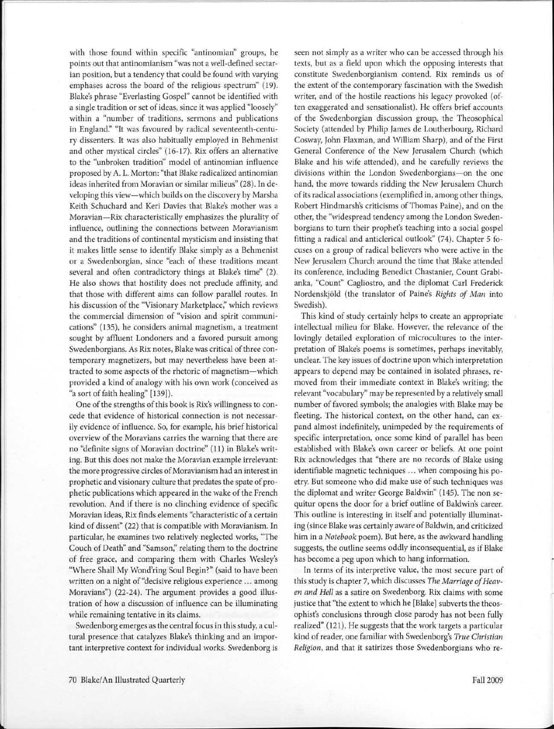with those found within specific "antinomian" groups, he points out that antinomianism "was not a well-defined sectarian position, but a tendency that could be found with varying emphases across the board of the religious spectrum" (19). Blake's phrase "Everlasting Gospel" cannot be identified with a single tradition or set of ideas, since it was applied "loosely" within a "number of traditions, sermons and publications in England." "It was favoured by radical seventeenth-century dissenters. It was also habitually employed in Behmenist and other mystical circles" ( 16-17). Rix offers an alternative to the "unbroken tradition'' model of antinomian influence proposed by A. L. Morton: "that Blake radicalized antinomian ideas inherited from Moravian or similar milieus" (28). In developing this view-which builds on the discovery by Marsha Keith Schuchard and Keri Davies that Blake's mother was a Moravian-Rix characteristically emphasizes the plurality of influence, outlining the connections between Moravianism and the traditions of continental mysticism and insisting that it makes little sense to identify Blake simply as a Behmenist or a Swedenborgian, since "each of these traditions meant several and often contradictory things at Blake's time" (2). He also shows that hostility does not preclude affinity, and that those with different aims can follow parallel routes. In his discussion of the "Visionary Marketplace;' which reviews the commercial dimension of "vision and spirit communications" (135), he considers animal magnetism, a treatment sought by affluent Londoners and a favored pursuit among Swedenborgians. As Rix notes, Blake was critical of three contemporary magnetizers, but may nevertheless have been attracted to some aspects of the rhetoric of magnetism-which provided a kind of analogy with his own work (conceived as "a sort of faith healing" [139)).

One of the strengths of this book is Rix's willingness to concede that evidence of historical connection is not necessarily evidence of influence. So, for example, his brief historical overview of the Moravians carries the warning that there are no "definite signs of Moravian doctrine" ( 11) in Blake's writing. But this does not make the Moravian example irrelevant: the more progressive circles of Moravianism had an interest in prophetic and visionary culture that predates the spate of prophetic publications which appeared in the wake of the French revolution. And if there is no clinching evidence of specific Moravian ideas, Rix finds elements "characteristic of a certain kind of dissent" (22) that is compatible with Moravianism. In particular, he examines two relatively neglected works, "The Couch of Death" and "Samson;' relating them to the doctrine of free grace, and comparing them with Charles Wesley's "Where Shall My Wond'ring Soul Begin?" (said to have been written on a night of "decisive religious experience ... among Moravians") (22-24). The argument provides a good illustration of how a discussion of influence can be illuminating while remaining tentative in its claims.

Swedenborg emerges as the central focus in this study, a cultural presence that catalyzes Blake's thinking and an important interpretive context for individual works. Swedenborg is

seen not simply as a writer who can be accessed through his texts, but as a field upon which the opposing interests that constitute Swedenborgianism contend. Rix reminds us of the extent of the contemporary fascination with the Swedish writer, and of the hostile reactions his legacy provoked (often exaggerated and sensationalist). He offers brief accounts of the Swedenborgian discussion group, the Theosophical Society (attended by Philip James de Loutherbourg, Richard Cosway, John Flaxman, and William Sharp), and of the First General Conference of the New Jerusalem Church (which Blake and his wife attended), and he carefully reviews the divisions within the London Swedenborgians-on the one hand, the move towards ridding the New Jerusalem Church of its radical associations (exemplified in, among other things, Robert Hindmarsh's criticisms of Thomas Paine), and on the other, the "widespread tendency among the London Swedenborgians to turn their prophet's teaching into a social gospel fitting a radical and anticlerical outlook" (74). Chapter 5 focuses on a group of radical believers who were active in the New Jerusalem Church around the time that Blake attended its conference, including Benedict Chastanier, Count Grabianka, "Count" Cagliostro, and the diplomat Carl Frederick Nordenskjold (the translator of Paine's *Rights of Man* into Swedish).

This kind of study certainly helps to create an appropriate intellectual milieu for Blake. However, the relevance of the lovingly detailed exploration of microcultures to the interpretation of Blake's poems is sometimes, perhaps inevitably, unclear. The key issues of doctrine upon which interpretation appears to depend may be contained in isolated phrases, removed from their immediate context in Blake's writing; the relevant "vocabulary" may be represented by a relatively small number of favored symbols; the analogies with Blake may be fleeting. The historical context, on the other hand, can expand almost indefinitely, unimpeded by the requirements of specific interpretation, once some kind of parallel has been established with Blake's own career or beliefs. At one point Rix acknowledges that "there are no records of Blake using identifiable magnetic techniques ... when composing his poetry. But someone who did make use of such techniques was the diplomat and writer George Baldwin" (145). The non sequitur opens the door for a brief outline of Baldwin's career. This outline is interesting in itself and potentially illuminating (since Blake was certainly aware of Baldwin, and criticized him in a *Notebook* poem). But here, as the awkward handling suggests, the outline seems oddly inconsequential, as if Blake has become a peg upon which to hang information.

In terms of its interpretive value, the most secure part of this study is chapter 7, which discusses *The Marriage of Heaven and Hell* as a satire on Swedenborg. Rix claims with some justice that "the extent to which he [Blake] subverts the theosophist's conclusions through-close parody has not been fully realized" (121). He suggests that the work targets a particular kind of reader, one familiar with Swedenborg's *True Christian Religion,* and that it satirizes those Swedenborgians who re